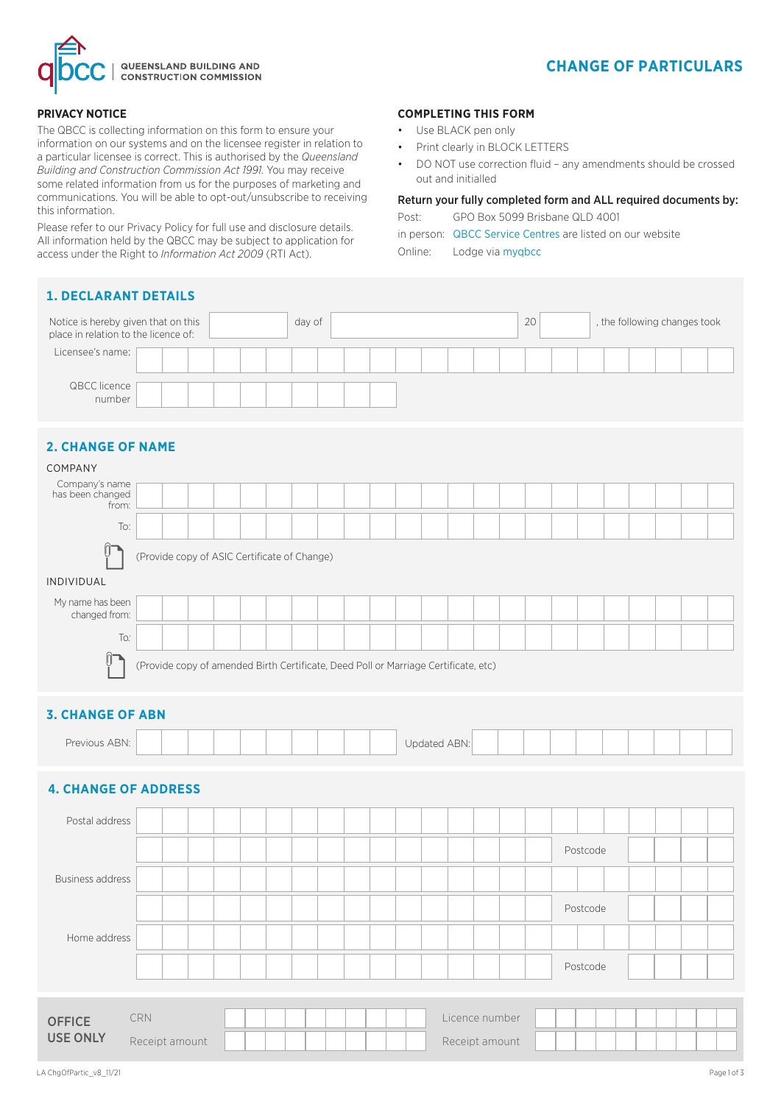

# **CHANGE OF PARTICULARS**

#### **PRIVACY NOTICE**

The QBCC is collecting information on this form to ensure your information on our systems and on the licensee register in relation to a particular licensee is correct. This is authorised by the *Queensland Building and Construction Commission Act 1991.* You may receive some related information from us for the purposes of marketing and communications. You will be able to opt-out/unsubscribe to receiving this information.

Please refer to our Privacy Policy for full use and disclosure details. All information held by the QBCC may be subject to application for access under the Right to *Information Act 2009* (RTI Act).

#### **1. DECLARANT DETAILS**

# **OFFICE** USE ONLY CRN Licence number of the control of the control of the control of the control of the control of the control of the control of the control of the control of the control of the control of the control of the control of the c Notice is hereby given that on this day of day of 20 , the following changes took place in relation to the licence of: Licensee's name: QBCC licence number **2. CHANGE OF NAME** COMPANY Company's name has been changed from: To: (Provide copy of ASIC Certificate of Change) INDIVIDUAL My name has been changed from: To*:* (Provide copy of amended Birth Certificate, Deed Poll or Marriage Certificate, etc) **3. CHANGE OF ABN** Previous ABN: | | | | | | | | | | | | | | | Updated ABN: **4. CHANGE OF ADDRESS** Postal address Postcode Business address Postcode Home address Postcode

**COMPLETING THIS FORM** Use BLACK pen only

out and initialled

Online: Lodge via myqbcc

Print clearly in BLOCK LETTERS

Post: GPO Box 5099 Brisbane QLD 4001

in person: QBCC Service Centres are listed on our website

• DO NOT use correction fluid – any amendments should be crossed

Return your fully completed form and ALL required documents by:

Receipt amount Receipt amount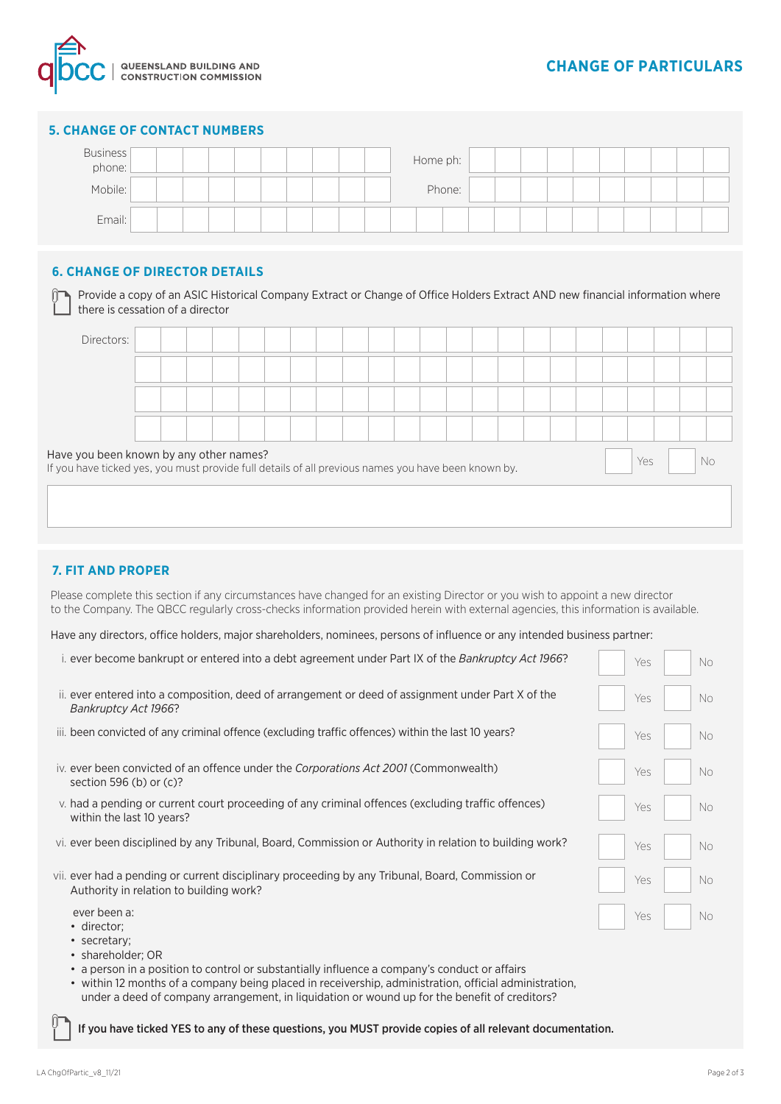

#### **5. CHANGE OF CONTACT NUMBERS**

| <b>Business</b><br>phone: |  |  |  |  |  | Home ph: |        |  |  |  |  |  |
|---------------------------|--|--|--|--|--|----------|--------|--|--|--|--|--|
| Mobile:                   |  |  |  |  |  |          | Phone: |  |  |  |  |  |
| Email:                    |  |  |  |  |  |          |        |  |  |  |  |  |

#### **6. CHANGE OF DIRECTOR DETAILS**

 $\sim$ 

| Directors:                                                                                                                                     |  |  |  |  |  |  |  |  |  |     |     |  |
|------------------------------------------------------------------------------------------------------------------------------------------------|--|--|--|--|--|--|--|--|--|-----|-----|--|
|                                                                                                                                                |  |  |  |  |  |  |  |  |  |     |     |  |
|                                                                                                                                                |  |  |  |  |  |  |  |  |  |     |     |  |
|                                                                                                                                                |  |  |  |  |  |  |  |  |  |     |     |  |
| Have you been known by any other names?<br>If you have ticked yes, you must provide full details of all previous names you have been known by. |  |  |  |  |  |  |  |  |  | Yes | No. |  |

#### **7. FIT AND PROPER**

Please complete this section if any circumstances have changed for an existing Director or you wish to appoint a new director to the Company. The QBCC regularly cross-checks information provided herein with external agencies, this information is available.

Have any directors, office holders, major shareholders, nominees, persons of influence or any intended business partner:

| i, ever become bankrupt or entered into a debt agreement under Part IX of the <i>Bankruptcy Act 1966</i> ?                                  | Yes | No. |
|---------------------------------------------------------------------------------------------------------------------------------------------|-----|-----|
| ii, ever entered into a composition, deed of arrangement or deed of assignment under Part X of the<br>Bankruptcy Act 1966?                  | Yes | No. |
| iii. been convicted of any criminal offence (excluding traffic offences) within the last 10 years?                                          | Yes | No. |
| iv. ever been convicted of an offence under the Corporations Act 2001 (Commonwealth)<br>section 596 (b) or $(c)$ ?                          | Yes | No. |
| v. had a pending or current court proceeding of any criminal offences (excluding traffic offences)<br>within the last 10 years?             | Yes | No. |
| vi. ever been disciplined by any Tribunal, Board, Commission or Authority in relation to building work?                                     | Yes | No. |
| vii, ever had a pending or current disciplinary proceeding by any Tribunal, Board, Commission or<br>Authority in relation to building work? | Yes | No. |
| ever been a:<br>• director;<br>• secretary;                                                                                                 | Yes | No. |

- shareholder; OR
- a person in a position to control or substantially influence a company's conduct or affairs
- within 12 months of a company being placed in receivership, administration, official administration, under a deed of company arrangement, in liquidation or wound up for the benefit of creditors?

If you have ticked YES to any of these questions, you MUST provide copies of all relevant documentation.